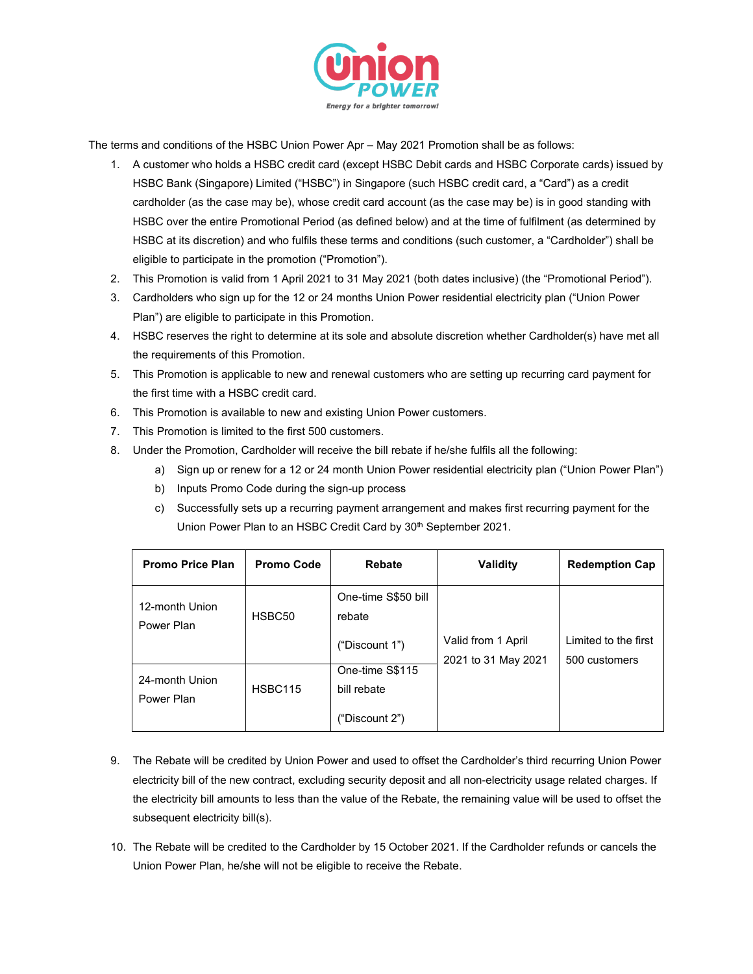

The terms and conditions of the HSBC Union Power Apr – May 2021 Promotion shall be as follows:

- 1. A customer who holds a HSBC credit card (except HSBC Debit cards and HSBC Corporate cards) issued by HSBC Bank (Singapore) Limited ("HSBC") in Singapore (such HSBC credit card, a "Card") as a credit cardholder (as the case may be), whose credit card account (as the case may be) is in good standing with HSBC over the entire Promotional Period (as defined below) and at the time of fulfilment (as determined by HSBC at its discretion) and who fulfils these terms and conditions (such customer, a "Cardholder") shall be eligible to participate in the promotion ("Promotion").
- 2. This Promotion is valid from 1 April 2021 to 31 May 2021 (both dates inclusive) (the "Promotional Period").
- 3. Cardholders who sign up for the 12 or 24 months Union Power residential electricity plan ("Union Power Plan") are eligible to participate in this Promotion.
- 4. HSBC reserves the right to determine at its sole and absolute discretion whether Cardholder(s) have met all the requirements of this Promotion.
- 5. This Promotion is applicable to new and renewal customers who are setting up recurring card payment for the first time with a HSBC credit card.
- 6. This Promotion is available to new and existing Union Power customers.
- 7. This Promotion is limited to the first 500 customers.
- 8. Under the Promotion, Cardholder will receive the bill rebate if he/she fulfils all the following:
	- a) Sign up or renew for a 12 or 24 month Union Power residential electricity plan ("Union Power Plan")
	- b) Inputs Promo Code during the sign-up process
	- c) Successfully sets up a recurring payment arrangement and makes first recurring payment for the Union Power Plan to an HSBC Credit Card by 30<sup>th</sup> September 2021.

| <b>Promo Price Plan</b>      | <b>Promo Code</b> | <b>Rebate</b>                                    | <b>Validity</b>                           | <b>Redemption Cap</b>                  |
|------------------------------|-------------------|--------------------------------------------------|-------------------------------------------|----------------------------------------|
| 12-month Union<br>Power Plan | HSBC50            | One-time S\$50 bill<br>rebate<br>("Discount 1")  | Valid from 1 April<br>2021 to 31 May 2021 | I imited to the first<br>500 customers |
| 24-month Union<br>Power Plan | <b>HSBC115</b>    | One-time S\$115<br>bill rebate<br>("Discount 2") |                                           |                                        |

- 9. The Rebate will be credited by Union Power and used to offset the Cardholder's third recurring Union Power electricity bill of the new contract, excluding security deposit and all non-electricity usage related charges. If the electricity bill amounts to less than the value of the Rebate, the remaining value will be used to offset the subsequent electricity bill(s).
- 10. The Rebate will be credited to the Cardholder by 15 October 2021. If the Cardholder refunds or cancels the Union Power Plan, he/she will not be eligible to receive the Rebate.